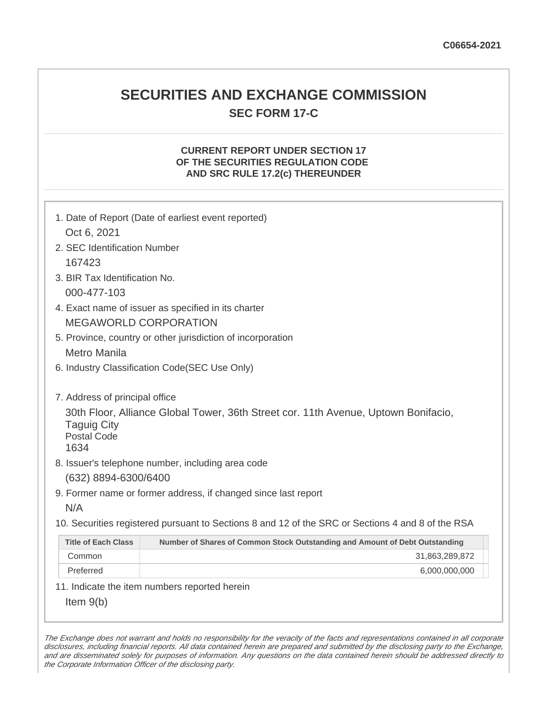## **SECURITIES AND EXCHANGE COMMISSION SEC FORM 17-C**

#### **CURRENT REPORT UNDER SECTION 17 OF THE SECURITIES REGULATION CODE AND SRC RULE 17.2(c) THEREUNDER**

| Oct 6, 2021                                                                                                                                                              | 1. Date of Report (Date of earliest event reported)                         |  |
|--------------------------------------------------------------------------------------------------------------------------------------------------------------------------|-----------------------------------------------------------------------------|--|
| 2. SEC Identification Number                                                                                                                                             |                                                                             |  |
| 167423                                                                                                                                                                   |                                                                             |  |
| 3. BIR Tax Identification No.                                                                                                                                            |                                                                             |  |
| 000-477-103                                                                                                                                                              |                                                                             |  |
| 4. Exact name of issuer as specified in its charter                                                                                                                      |                                                                             |  |
| <b>MEGAWORLD CORPORATION</b>                                                                                                                                             |                                                                             |  |
| 5. Province, country or other jurisdiction of incorporation                                                                                                              |                                                                             |  |
| <b>Metro Manila</b>                                                                                                                                                      |                                                                             |  |
| 6. Industry Classification Code(SEC Use Only)                                                                                                                            |                                                                             |  |
| 7. Address of principal office<br>30th Floor, Alliance Global Tower, 36th Street cor. 11th Avenue, Uptown Bonifacio,<br><b>Taguig City</b><br><b>Postal Code</b><br>1634 |                                                                             |  |
|                                                                                                                                                                          | 8. Issuer's telephone number, including area code                           |  |
| (632) 8894-6300/6400                                                                                                                                                     |                                                                             |  |
|                                                                                                                                                                          | 9. Former name or former address, if changed since last report              |  |
| N/A                                                                                                                                                                      |                                                                             |  |
| 10. Securities registered pursuant to Sections 8 and 12 of the SRC or Sections 4 and 8 of the RSA                                                                        |                                                                             |  |
| <b>Title of Each Class</b>                                                                                                                                               | Number of Shares of Common Stock Outstanding and Amount of Debt Outstanding |  |
| Common                                                                                                                                                                   | 31,863,289,872                                                              |  |
| Preferred                                                                                                                                                                | 6,000,000,000                                                               |  |
|                                                                                                                                                                          | 11. Indicate the item numbers reported herein                               |  |
| Item $9(b)$                                                                                                                                                              |                                                                             |  |

The Exchange does not warrant and holds no responsibility for the veracity of the facts and representations contained in all corporate disclosures, including financial reports. All data contained herein are prepared and submitted by the disclosing party to the Exchange, and are disseminated solely for purposes of information. Any questions on the data contained herein should be addressed directly to the Corporate Information Officer of the disclosing party.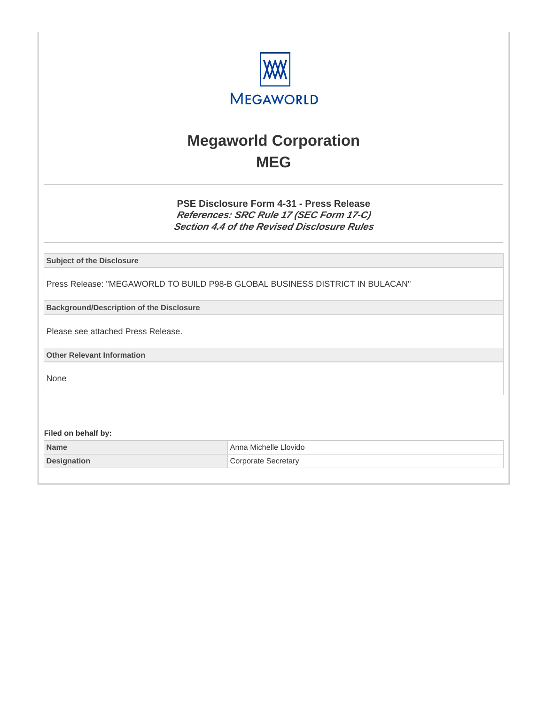

# **Megaworld Corporation MEG**

**PSE Disclosure Form 4-31 - Press Release References: SRC Rule 17 (SEC Form 17-C) Section 4.4 of the Revised Disclosure Rules**

**Subject of the Disclosure**

Press Release: "MEGAWORLD TO BUILD P98-B GLOBAL BUSINESS DISTRICT IN BULACAN"

**Background/Description of the Disclosure**

Please see attached Press Release.

**Other Relevant Information**

None

**Filed on behalf by:**

| <b>Name</b>        | Anna Michelle Llovido |
|--------------------|-----------------------|
| <b>Designation</b> | Corporate Secretary   |
|                    |                       |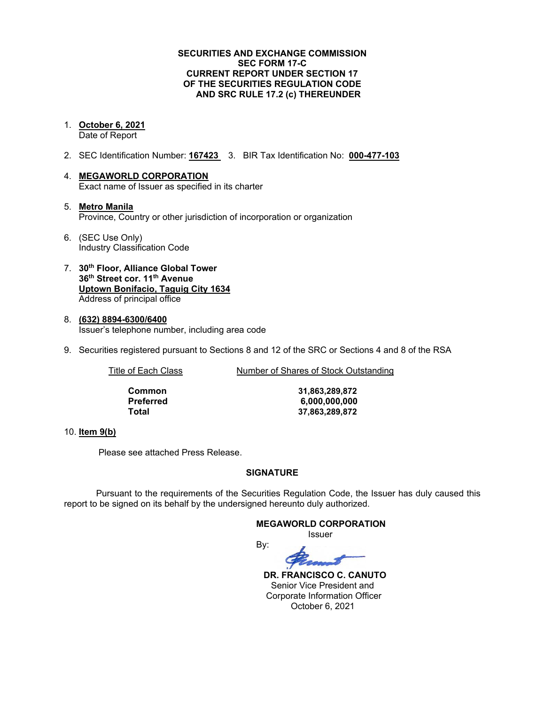#### **SECURITIES AND EXCHANGE COMMISSION SEC FORM 17-C CURRENT REPORT UNDER SECTION 17 OF THE SECURITIES REGULATION CODE AND SRC RULE 17.2 (c) THEREUNDER**

1. **October 6, 2021**

Date of Report

- 2. SEC Identification Number: **167423** 3. BIR Tax Identification No: **000-477-103**
- 4. **MEGAWORLD CORPORATION** Exact name of Issuer as specified in its charter
- 5. **Metro Manila** Province, Country or other jurisdiction of incorporation or organization
- 6. (SEC Use Only) Industry Classification Code
- 7. **30th Floor, Alliance Global Tower 36th Street cor. 11th Avenue Uptown Bonifacio, Taguig City 1634** Address of principal office
- 8. **(632) 8894-6300/6400** Issuer's telephone number, including area code
- 9. Securities registered pursuant to Sections 8 and 12 of the SRC or Sections 4 and 8 of the RSA

Title of Each Class Number of Shares of Stock Outstanding

| Common    |
|-----------|
| Preferred |
| Total     |

**Common 31,863,289,872 Preferred 6,000,000,000 Total 37,863,289,872**

#### 10. **Item 9(b)**

Please see attached Press Release.

#### **SIGNATURE**

Pursuant to the requirements of the Securities Regulation Code, the Issuer has duly caused this report to be signed on its behalf by the undersigned hereunto duly authorized.

By:

**MEGAWORLD CORPORATION**

Issuer



 **DR. FRANCISCO C. CANUTO** Senior Vice President and Corporate Information Officer October 6, 2021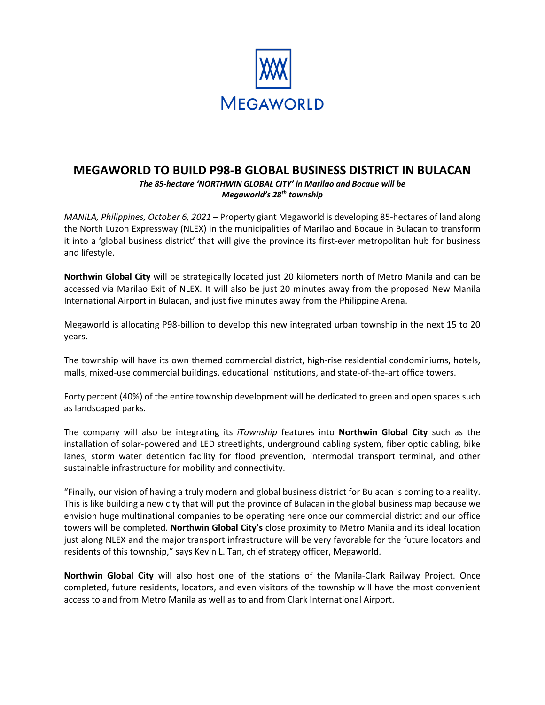

### **MEGAWORLD TO BUILD P98-B GLOBAL BUSINESS DISTRICT IN BULACAN**

*The 85-hectare 'NORTHWIN GLOBAL CITY' in Marilao and Bocaue will be Megaworld's 28th township*

*MANILA, Philippines, October 6, 2021 –* Property giant Megaworld is developing 85-hectares of land along the North Luzon Expressway (NLEX) in the municipalities of Marilao and Bocaue in Bulacan to transform it into a 'global business district' that will give the province its first-ever metropolitan hub for business and lifestyle.

**Northwin Global City** will be strategically located just 20 kilometers north of Metro Manila and can be accessed via Marilao Exit of NLEX. It will also be just 20 minutes away from the proposed New Manila International Airport in Bulacan, and just five minutes away from the Philippine Arena.

Megaworld is allocating P98-billion to develop this new integrated urban township in the next 15 to 20 years.

The township will have its own themed commercial district, high-rise residential condominiums, hotels, malls, mixed-use commercial buildings, educational institutions, and state-of-the-art office towers.

Forty percent (40%) of the entire township development will be dedicated to green and open spaces such as landscaped parks.

The company will also be integrating its *iTownship* features into **Northwin Global City** such as the installation of solar-powered and LED streetlights, underground cabling system, fiber optic cabling, bike lanes, storm water detention facility for flood prevention, intermodal transport terminal, and other sustainable infrastructure for mobility and connectivity.

"Finally, our vision of having a truly modern and global business district for Bulacan is coming to a reality. This is like building a new city that will put the province of Bulacan in the global business map because we envision huge multinational companies to be operating here once our commercial district and our office towers will be completed. **Northwin Global City's** close proximity to Metro Manila and its ideal location just along NLEX and the major transport infrastructure will be very favorable for the future locators and residents of this township," says Kevin L. Tan, chief strategy officer, Megaworld.

**Northwin Global City** will also host one of the stations of the Manila-Clark Railway Project. Once completed, future residents, locators, and even visitors of the township will have the most convenient access to and from Metro Manila as well as to and from Clark International Airport.